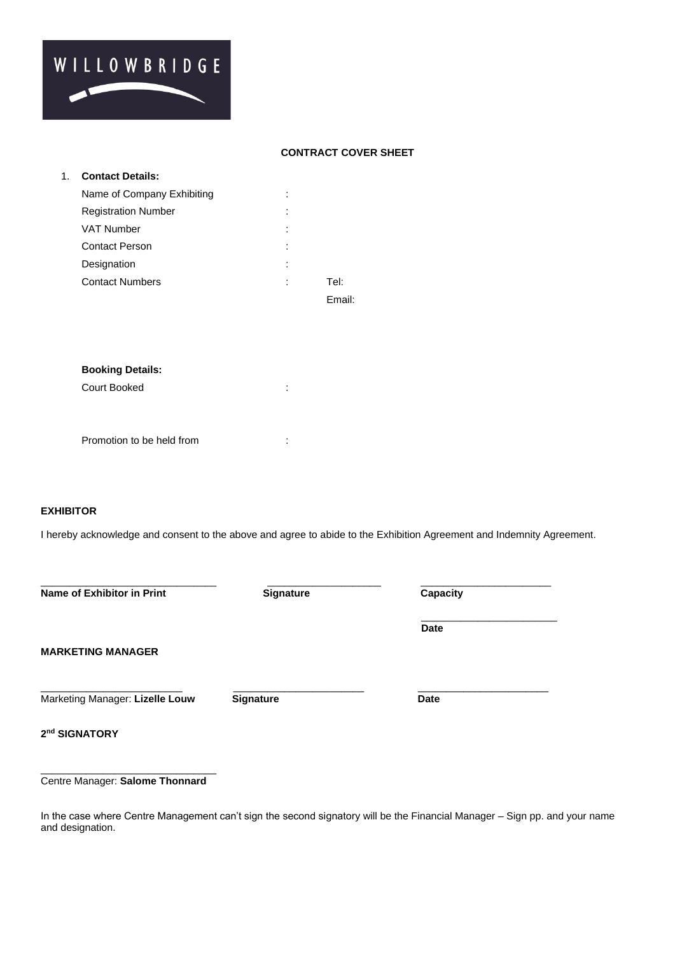# WILLOWBRIDGE

# **CONTRACT COVER SHEET**

| 1. | <b>Contact Details:</b>    |   |      |
|----|----------------------------|---|------|
|    | Name of Company Exhibiting |   |      |
|    | <b>Registration Number</b> | ٠ |      |
|    | <b>VAT Number</b>          |   |      |
|    | <b>Contact Person</b>      |   |      |
|    | Designation                | ٠ |      |
|    | <b>Contact Numbers</b>     | ٠ | Tel: |
|    |                            |   | Fm   |

# **Booking Details:**

Court Booked :

Promotion to be held from **:** 

# **EXHIBITOR**

I hereby acknowledge and consent to the above and agree to abide to the Exhibition Agreement and Indemnity Agreement.

| Name of Exhibitor in Print      | Signature        | Capacity    |  |
|---------------------------------|------------------|-------------|--|
|                                 |                  | <b>Date</b> |  |
| <b>MARKETING MANAGER</b>        |                  |             |  |
| Marketing Manager: Lizelle Louw | <b>Signature</b> | <b>Date</b> |  |
| 2 <sup>nd</sup> SIGNATORY       |                  |             |  |

#### \_\_\_\_\_\_\_\_\_\_\_\_\_\_\_\_\_\_\_\_\_\_\_\_\_\_\_\_\_\_\_ Centre Manager: **Salome Thonnard**

In the case where Centre Management can't sign the second signatory will be the Financial Manager – Sign pp. and your name and designation.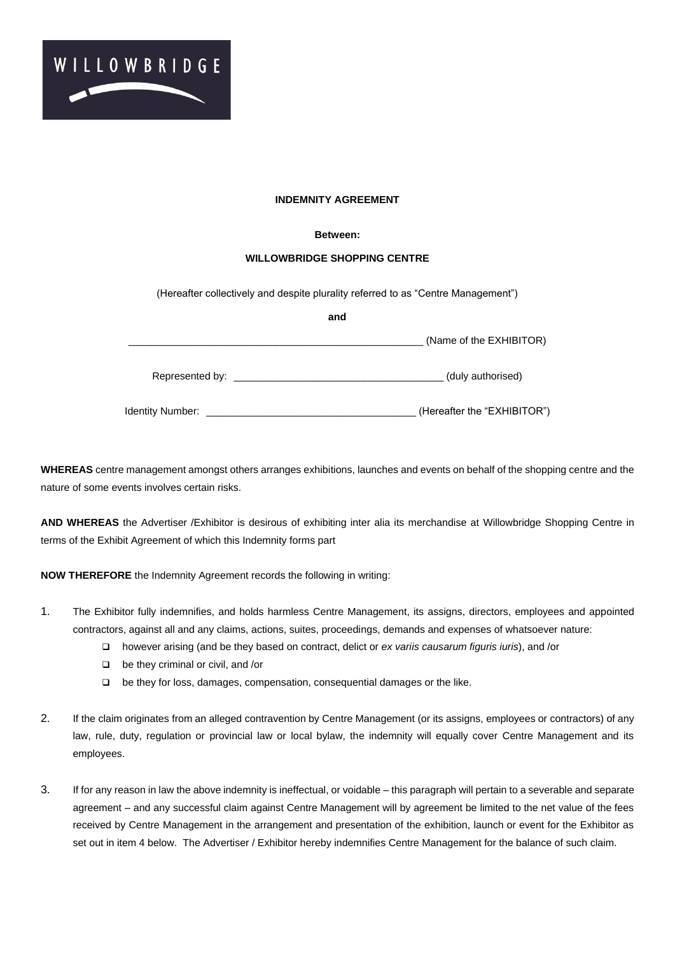

# **INDEMNITY AGREEMENT**

### **Between:**

## **WILLOWBRIDGE SHOPPING CENTRE**

(Hereafter collectively and despite plurality referred to as "Centre Management")

|                                                                                                                                                                                                                                | and |                             |
|--------------------------------------------------------------------------------------------------------------------------------------------------------------------------------------------------------------------------------|-----|-----------------------------|
|                                                                                                                                                                                                                                |     | (Name of the EXHIBITOR)     |
| Represented by: Network and the state of the state of the state of the state of the state of the state of the state of the state of the state of the state of the state of the state of the state of the state of the state of |     | (duly authorised)           |
| Identity Number:                                                                                                                                                                                                               |     | (Hereafter the "EXHIBITOR") |

**WHEREAS** centre management amongst others arranges exhibitions, launches and events on behalf of the shopping centre and the nature of some events involves certain risks.

**AND WHEREAS** the Advertiser /Exhibitor is desirous of exhibiting inter alia its merchandise at Willowbridge Shopping Centre in terms of the Exhibit Agreement of which this Indemnity forms part

**NOW THEREFORE** the Indemnity Agreement records the following in writing:

- 1. The Exhibitor fully indemnifies, and holds harmless Centre Management, its assigns, directors, employees and appointed contractors, against all and any claims, actions, suites, proceedings, demands and expenses of whatsoever nature:
	- ❑ however arising (and be they based on contract, delict or *ex variis causarum figuris iuris*), and /or
	- ❑ be they criminal or civil, and /or
	- ❑ be they for loss, damages, compensation, consequential damages or the like.
- 2. If the claim originates from an alleged contravention by Centre Management (or its assigns, employees or contractors) of any law, rule, duty, regulation or provincial law or local bylaw, the indemnity will equally cover Centre Management and its employees.
- 3. If for any reason in law the above indemnity is ineffectual, or voidable this paragraph will pertain to a severable and separate agreement – and any successful claim against Centre Management will by agreement be limited to the net value of the fees received by Centre Management in the arrangement and presentation of the exhibition, launch or event for the Exhibitor as set out in item 4 below. The Advertiser / Exhibitor hereby indemnifies Centre Management for the balance of such claim.